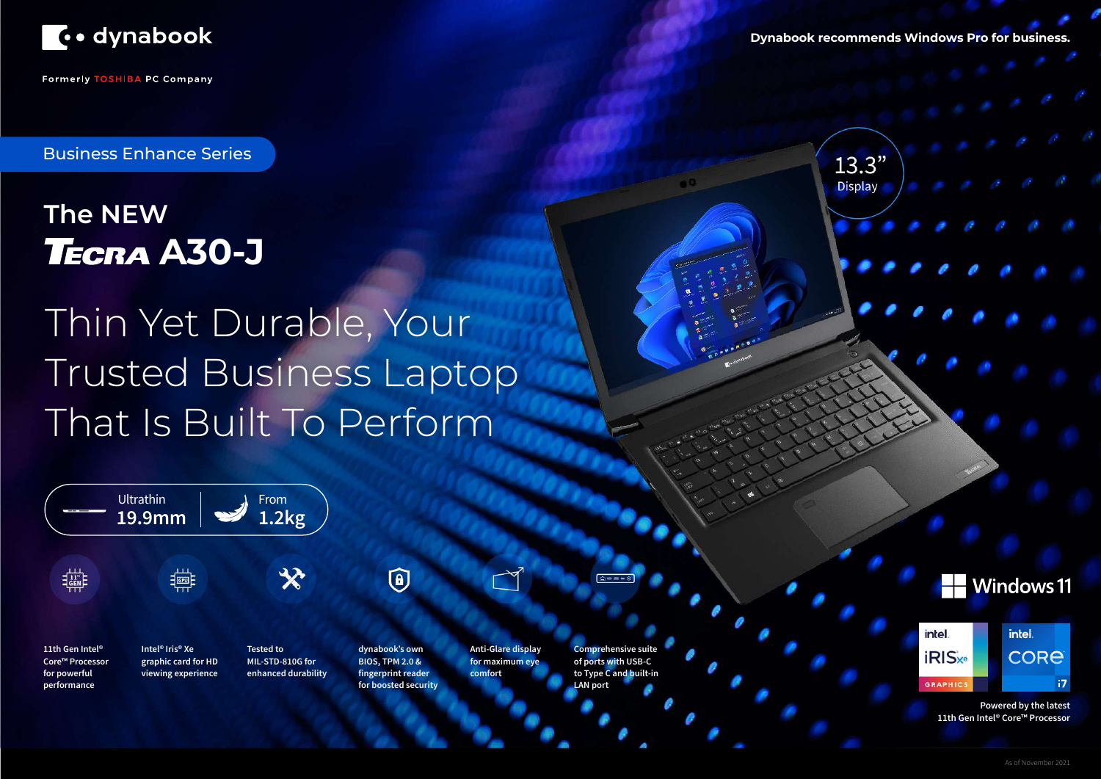

**Formerly TOSHIBA PC Company** 



# **The NEW TECRA A30-J**

**Powered by the latest 11th Gen Intel® Core™ Processor**

**Dynabook recommends Windows Pro for business.**

 $13.3"$ **Display** 





intel. **CORE**  $17<sup>2</sup>$ 

Thin Yet Durable, Your Trusted Business Laptop That Is Built To Perform

Business Enhance Series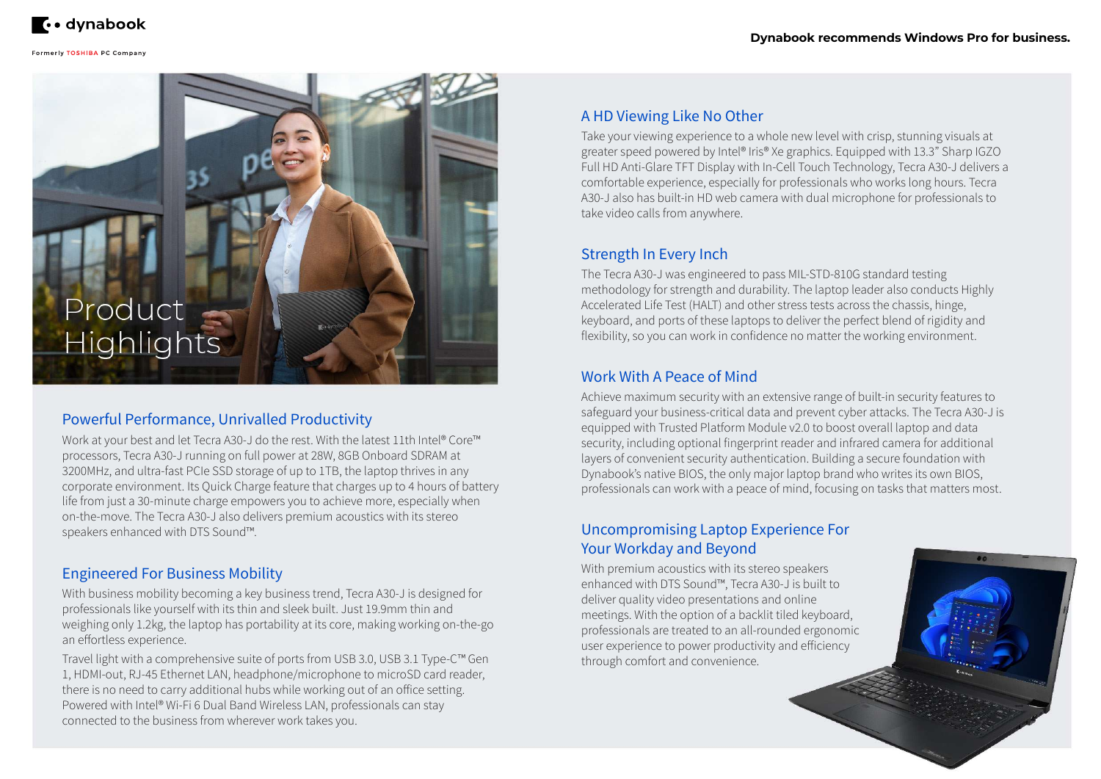

# Product Highlights

## Powerful Performance, Unrivalled Productivity

Work at your best and let Tecra A30-J do the rest. With the latest 11th Intel® Core™ processors, Tecra A30-J running on full power at 28W, 8GB Onboard SDRAM at 3200MHz, and ultra-fast PCIe SSD storage of up to 1TB, the laptop thrives in any corporate environment. Its Quick Charge feature that charges up to 4 hours of battery life from just a 30-minute charge empowers you to achieve more, especially when on-the-move. The Tecra A30-J also delivers premium acoustics with its stereo speakers enhanced with DTS Sound™.

#### A HD Viewing Like No Other

Take your viewing experience to a whole new level with crisp, stunning visuals at greater speed powered by Intel® Iris® Xe graphics. Equipped with 13.3" Sharp IGZO Full HD Anti-Glare TFT Display with In-Cell Touch Technology, Tecra A30-J delivers a comfortable experience, especially for professionals who works long hours. Tecra A30-J also has built-in HD web camera with dual microphone for professionals to take video calls from anywhere.

## Strength In Every Inch

The Tecra A30-J was engineered to pass MIL-STD-810G standard testing methodology for strength and durability. The laptop leader also conducts Highly Accelerated Life Test (HALT) and other stress tests across the chassis, hinge, keyboard, and ports of these laptops to deliver the perfect blend of rigidity and flexibility, so you can work in confidence no matter the working environment.

#### Work With A Peace of Mind

Achieve maximum security with an extensive range of built-in security features to safeguard your business-critical data and prevent cyber attacks. The Tecra A30-J is equipped with Trusted Platform Module v2.0 to boost overall laptop and data security, including optional fingerprint reader and infrared camera for additional layers of convenient security authentication. Building a secure foundation with Dynabook's native BIOS, the only major laptop brand who writes its own BIOS, professionals can work with a peace of mind, focusing on tasks that matters most.

#### Engineered For Business Mobility

With business mobility becoming a key business trend, Tecra A30-J is designed for professionals like yourself with its thin and sleek built. Just 19.9mm thin and weighing only 1.2kg, the laptop has portability at its core, making working on-the-go an effortless experience.

Travel light with a comprehensive suite of ports from USB 3.0, USB 3.1 Type-C™ Gen 1, HDMI-out, RJ-45 Ethernet LAN, headphone/microphone to microSD card reader, there is no need to carry additional hubs while working out of an office setting. Powered with Intel® Wi-Fi 6 Dual Band Wireless LAN, professionals can stay connected to the business from wherever work takes you.

#### Uncompromising Laptop Experience For Your Workday and Beyond

With premium acoustics with its stereo speakers enhanced with DTS Sound™, Tecra A30-J is built to deliver quality video presentations and online meetings. With the option of a backlit tiled keyboard, professionals are treated to an all-rounded ergonomic user experience to power productivity and efficiency through comfort and convenience.



#### **Dynabook recommends Windows Pro for business.**